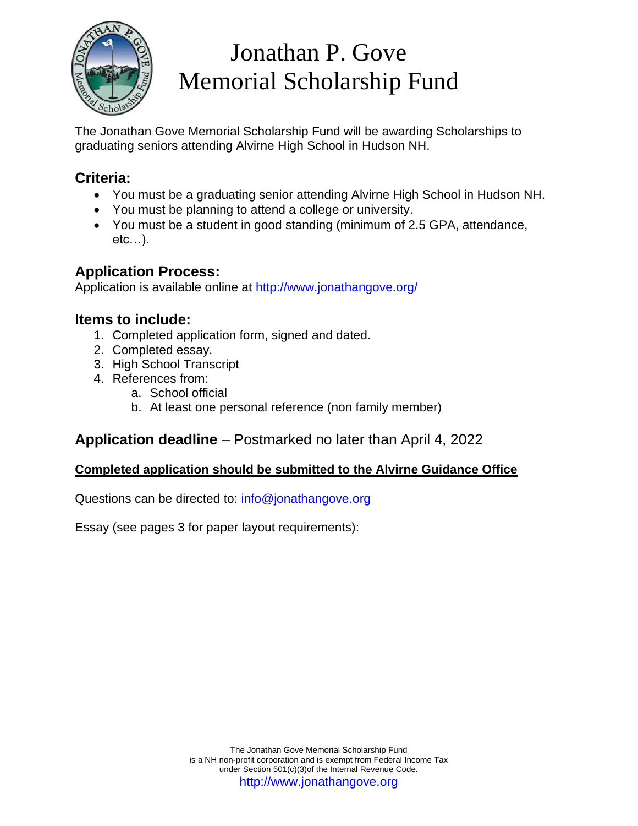

# Jonathan P. Gove Memorial Scholarship Fund

The Jonathan Gove Memorial Scholarship Fund will be awarding Scholarships to graduating seniors attending Alvirne High School in Hudson NH.

### **Criteria:**

- You must be a graduating senior attending Alvirne High School in Hudson NH.
- You must be planning to attend a college or university.
- You must be a student in good standing (minimum of 2.5 GPA, attendance, etc…).

### **Application Process:**

Application is available online at http://www.jonathangove.org/

### **Items to include:**

- 1. Completed application form, signed and dated.
- 2. Completed essay.
- 3. High School Transcript
- 4. References from:
	- a. School official
	- b. At least one personal reference (non family member)

### **Application deadline** – Postmarked no later than April 4, 2022

#### **Completed application should be submitted to the Alvirne Guidance Office**

Questions can be directed to: info@jonathangove.org

Essay (see pages 3 for paper layout requirements):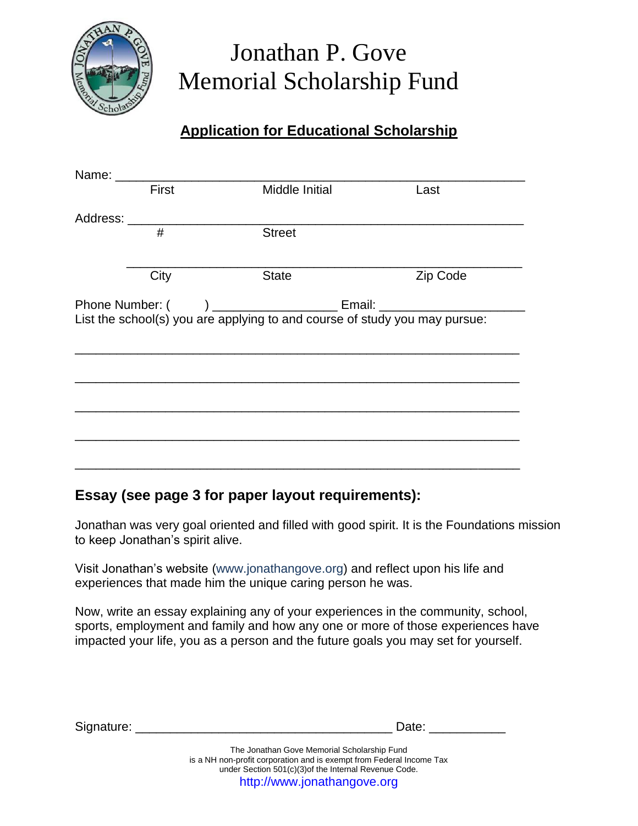

### Jonathan P. Gove Memorial Scholarship Fund

### **Application for Educational Scholarship**

| Name: ________ |       |                                                                            |          |
|----------------|-------|----------------------------------------------------------------------------|----------|
|                | First | Middle Initial                                                             | Last     |
| Address:       |       |                                                                            |          |
|                | #     | <b>Street</b>                                                              |          |
|                |       |                                                                            |          |
|                | City  | <b>State</b>                                                               | Zip Code |
|                |       |                                                                            |          |
|                |       | List the school(s) you are applying to and course of study you may pursue: |          |
|                |       |                                                                            |          |
|                |       |                                                                            |          |
|                |       |                                                                            |          |
|                |       |                                                                            |          |
|                |       |                                                                            |          |
|                |       |                                                                            |          |
|                |       |                                                                            |          |

### **Essay (see page 3 for paper layout requirements):**

Jonathan was very goal oriented and filled with good spirit. It is the Foundations mission to keep Jonathan's spirit alive.

Visit Jonathan's website (www.jonathangove.org) and reflect upon his life and experiences that made him the unique caring person he was.

Now, write an essay explaining any of your experiences in the community, school, sports, employment and family and how any one or more of those experiences have impacted your life, you as a person and the future goals you may set for yourself.

| Signature: | Date:                                       |
|------------|---------------------------------------------|
|            | The Jonathan Gove Memorial Scholarship Fund |

is a NH non-profit corporation and is exempt from Federal Income Tax under Section 501(c)(3)of the Internal Revenue Code. http://www.jonathangove.org